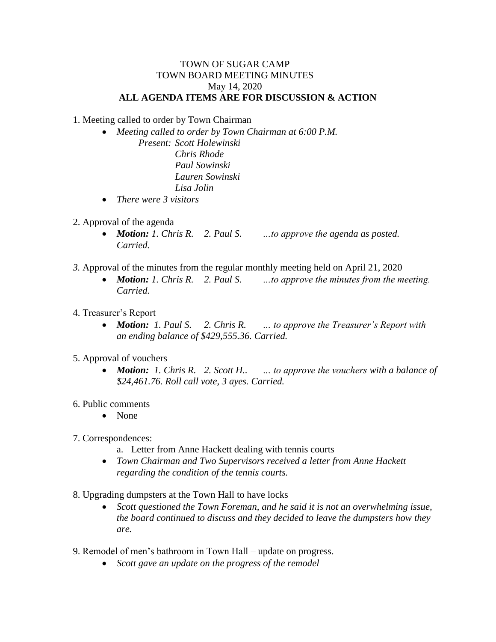## TOWN OF SUGAR CAMP TOWN BOARD MEETING MINUTES May 14, 2020 **ALL AGENDA ITEMS ARE FOR DISCUSSION & ACTION**

1. Meeting called to order by Town Chairman

 *Meeting called to order by Town Chairman at 6:00 P.M. Present: Scott Holewinski Chris Rhode*

*Paul Sowinski Lauren Sowinski Lisa Jolin*

- *There were 3 visitors*
- 2. Approval of the agenda
	- *Motion: 1. Chris R. 2. Paul S. …to approve the agenda as posted. Carried.*
- *3.* Approval of the minutes from the regular monthly meeting held on April 21, 2020
	- *Motion: 1. Chris R. 2. Paul S. …to approve the minutes from the meeting. Carried.*
- 4. Treasurer's Report
	- *Motion: 1. Paul S. 2. Chris R. … to approve the Treasurer's Report with an ending balance of \$429,555.36. Carried.*
- 5. Approval of vouchers
	- *Motion: 1. Chris R. 2. Scott H.. … to approve the vouchers with a balance of \$24,461.76. Roll call vote, 3 ayes. Carried.*
- 6. Public comments
	- None
- 7. Correspondences:
	- a. Letter from Anne Hackett dealing with tennis courts
	- *Town Chairman and Two Supervisors received a letter from Anne Hackett regarding the condition of the tennis courts.*
- 8. Upgrading dumpsters at the Town Hall to have locks
	- *Scott questioned the Town Foreman, and he said it is not an overwhelming issue, the board continued to discuss and they decided to leave the dumpsters how they are.*
- 9. Remodel of men's bathroom in Town Hall update on progress.
	- *Scott gave an update on the progress of the remodel*